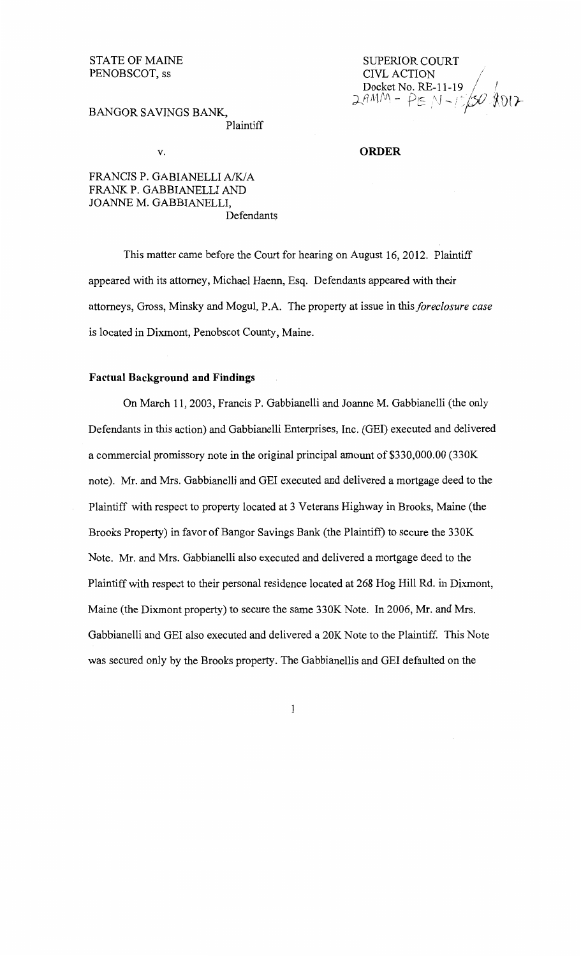# STATE OF MAINE PENOBSCOT, ss

# BANGOR SAVINGS BANK, Plaintiff

# v.

## **ORDER**

SUPERIOR COURT CIVL ACTION

**Docket No. RE-11-19**<br>2AMM - PE: N - 1 5 20 2017

FRANCIS P. GABIANELLI A/K/A FRANK P. GABBIANELLI AND JOANNE M. GABBIANELLI, Defendants

This matter came before the Court for hearing on August 16, 2012. Plaintiff appeared with its attorney, Michael Haenn, Esq. Defendants appeared with their attorneys, Gross, Minsky and Mogul, P.A. The property at issue in this *foreclosure case* is located in Dixmont, Penobscot County, Maine.

## **Factual Background and Findings**

On March 11, 2003, Francis P. Gabbianelli and Joanne M. Gabbianelli (the only Defendants in this action) and Gabbianelli Enterprises, Inc. (GEl) executed and delivered a commercial promissory note in the original principal amount of \$330,000.00 (330K note). Mr. and Mrs. Gabbianelli and GEl executed and delivered a mortgage deed to the Plaintiff with respect to property located at 3 Veterans Highway in Brooks, Maine (the Brooks Property) in favor of Bangor Savings Bank (the Plaintiff) to secure the 330K Note. Mr. and Mrs. Gabbianelli also executed and delivered a mortgage deed to the Plaintiff with respect to their personal residence located at 268 Hog Hill Rd. in Dixmont, Maine (the Dixmont property) to secure the same 330K Note. In 2006, Mr. and Mrs. Gabbianelli and GEl also executed and delivered a 20K Note to the Plaintiff. This Note was secured only by the Brooks property. The Gabbianellis and GEl defaulted on the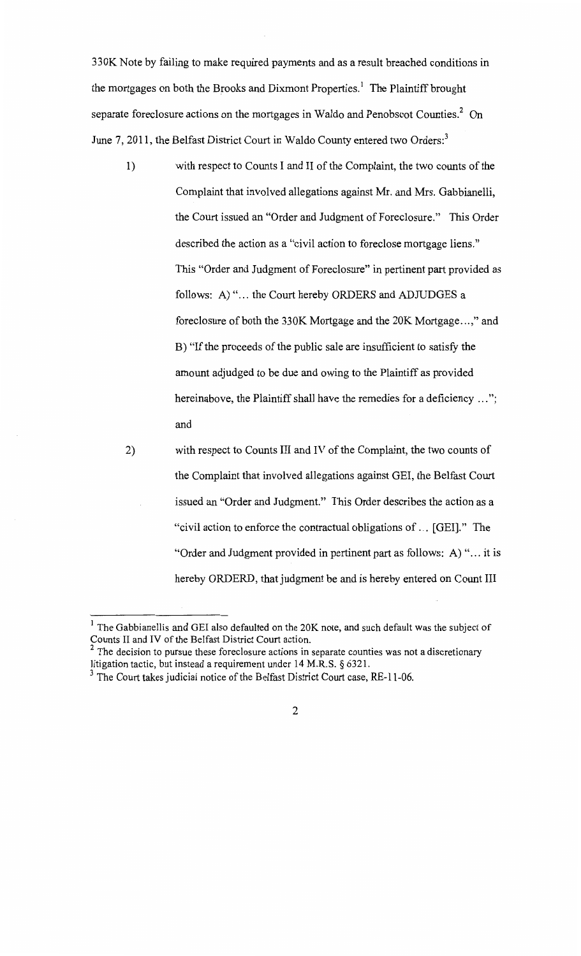330K Note by failing to make required payments and as a result breached conditions in the mortgages on both the Brooks and Dixmont Properties.<sup>1</sup> The Plaintiff brought separate foreclosure actions on the mortgages in Waldo and Penobscot Counties.<sup>2</sup> On June 7, 2011, the Belfast District Court in Waldo County entered two Orders:<sup>3</sup>

- 1) with respect to Counts I and II of the Complaint, the two counts of the Complaint that involved allegations against Mr. and Mrs. Gabbianelli, the Court issued an "Order and Judgment of Foreclosure." This Order described the action as a "civil action to foreclose mortgage liens." This "Order and Judgment of Foreclosure" in pertinent part provided as follows: A) "... the Court hereby ORDERS and ADJUDGES a foreclosure of both the 330K Mortgage and the 20K Mortgage ... ," and B) "If the proceeds of the public sale are insufficient to satisfy the amount adjudged to be due and owing to the Plaintiff as provided hereinabove, the Plaintiff shall have the remedies for a deficiency ..."; and
- 2) with respect to Counts III and IV of the Complaint, the two counts of the Complaint that involved allegations against GEl, the Belfast Court issued an "Order and Judgment." This Order describes the action as a "civil action to enforce the contractual obligations of ... [GEl]." The "Order and Judgment provided in pertinent part as follows: A) "... it is hereby ORDERD, that judgment be and is hereby entered on Count III

 $<sup>1</sup>$  The Gabbianellis and GEI also defaulted on the 20K note, and such default was the subject of</sup> Counts II and IV of the Belfast District Court action.

 $<sup>2</sup>$  The decision to pursue these foreclosure actions in separate counties was not a discretionary</sup> litigation tactic, but instead a requirement under 14 M.R.S. § 6321.

 $3$  The Court takes judicial notice of the Belfast District Court case, RE-11-06.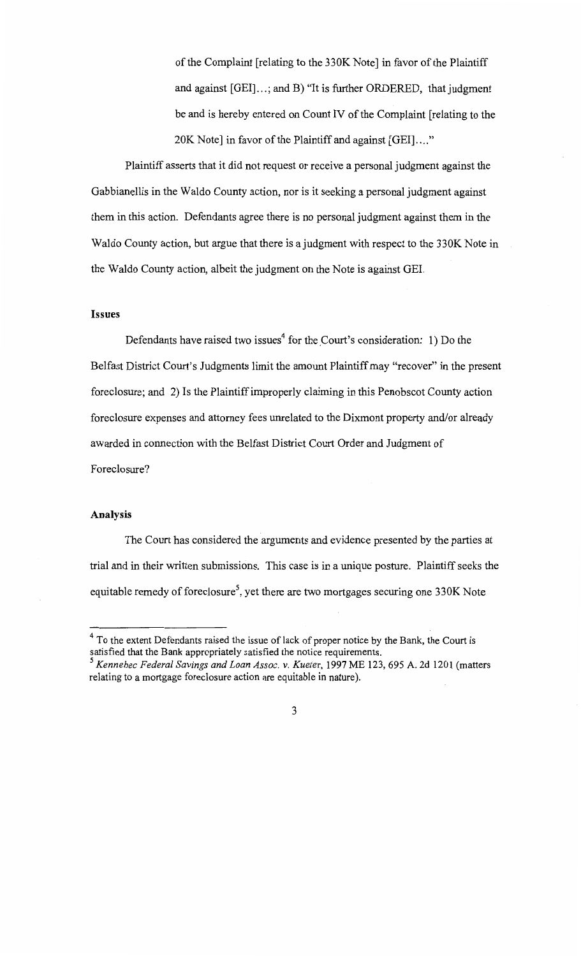of the Complaint [relating to the 330K Note] in favor of the Plaintiff and against [GEI]...; and B) "It is further ORDERED, that judgment be and is hereby entered on Count IV of the Complaint [relating to the 20K Note] in favor of the Plaintiff and against [GEI]...."

Plaintiff asserts that it did not request or receive a personal judgment against the Gabbianellis in the Waldo County action, nor is it seeking a personal judgment against them in this action. Defendants agree there is no personal judgment against them in the Waldo County action, but argue that there is a judgment with respect to the 330K Note in the Waldo County action, albeit the judgment on the Note is against GEL

### **Issues**

Defendants have raised two issues<sup>4</sup> for the Court's consideration: 1) Do the Belfast District Court's Judgments limit the amount Plaintiff may "recover" in the present foreclosure; and 2) Is the Plaintiff improperly claiming in this Penobscot County action foreclosure expenses and attorney fees unrelated to the Dixmont property and/or already awarded in connection with the Belfast District Court Order and Judgment of Foreclosure?

## **Analysis**

The Court has considered the arguments and evidence presented by the parties at trial and in their written submissions. This case is in a unique posture. Plaintiff seeks the equitable remedy of foreclosure<sup>5</sup>, yet there are two mortgages securing one 330K Note

 $4$  To the extent Defendants raised the issue of lack of proper notice by the Bank, the Court is satisfied that the Bank appropriately satisfied the notice requirements.

<sup>&</sup>lt;sup>5</sup> Kennebec Federal Savings and Loan Assoc. v. Kueter, 1997 ME 123, 695 A. 2d 1201 (matters relating to a mortgage foreclosure action are equitable in nature).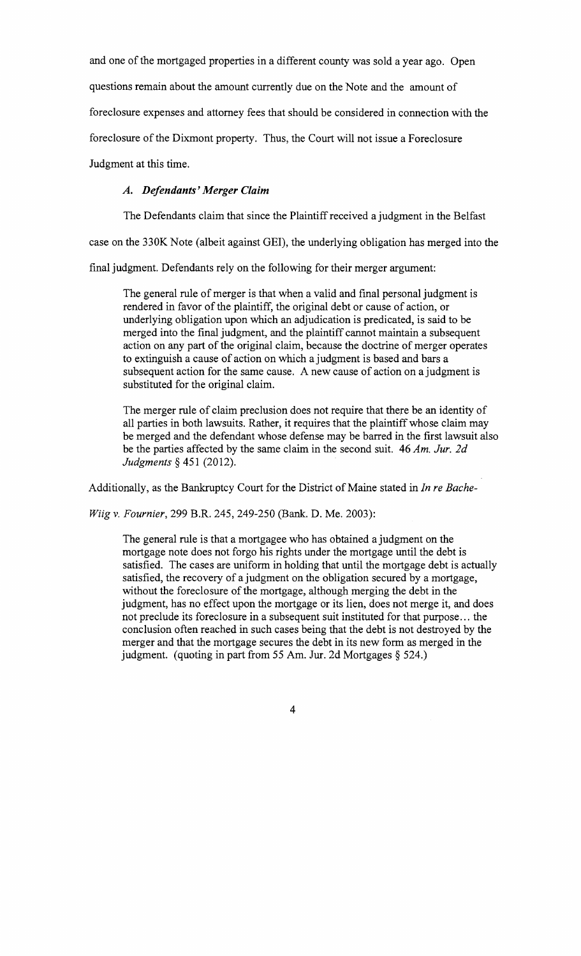and one of the mortgaged properties in a different county was sold a year ago. Open

questions remain about the amount currently due on the Note and the amount of

foreclosure expenses and attorney fees that should be considered in connection with the

foreclosure of the Dixmont property. Thus, the Court will not issue a Foreclosure

Judgment at this time.

# *A. Defendants' Merger Claim*

The Defendants claim that since the Plaintiff received a judgment in the Belfast

case on the 330K Note (albeit against GEl), the underlying obligation has merged into the

final judgment. Defendants rely on the following for their merger argument:

The general rule of merger is that when a valid and final personal judgment is rendered in favor of the plaintiff, the original debt or cause of action, or underlying obligation upon which an adjudication is predicated, is said to be merged into the final judgment, and the plaintiff cannot maintain a subsequent action on any part of the original claim, because the doctrine of merger operates to extinguish a cause of action on which a judgment is based and bars a subsequent action for the same cause. A new cause of action on a judgment is substituted for the original claim.

The merger rule of claim preclusion does not require that there be an identity of all parties in both lawsuits. Rather, it requires that the plaintiff whose claim may be merged and the defendant whose defense may be barred in the first lawsuit also be the parties affected by the same claim in the second suit. 46 *Am. Jur. 2d Judgments§* 451 (2012).

Additionally, as the Bankruptcy Court for the District of Maine stated in *In re Bache-*

*Wiig v. Fournier,* 299 B.R. 245, 249-250 (Bank. D. Me. 2003):

The general rule is that a mortgagee who has obtained a judgment on the mortgage note does not forgo his rights under the mortgage until the debt is satisfied. The cases are uniform in holding that until the mortgage debt is actually satisfied, the recovery of a judgment on the obligation secured by a mortgage, without the foreclosure of the mortgage, although merging the debt in the judgment, has no effect upon the mortgage or its lien, does not merge it, and does not preclude its foreclosure in a subsequent suit instituted for that purpose ... the conclusion often reached in such cases being that the debt is not destroyed by the merger and that the mortgage secures the debt in its new form as merged in the judgment. (quoting in part from 55 Am. Jur. 2d Mortgages§ 524.)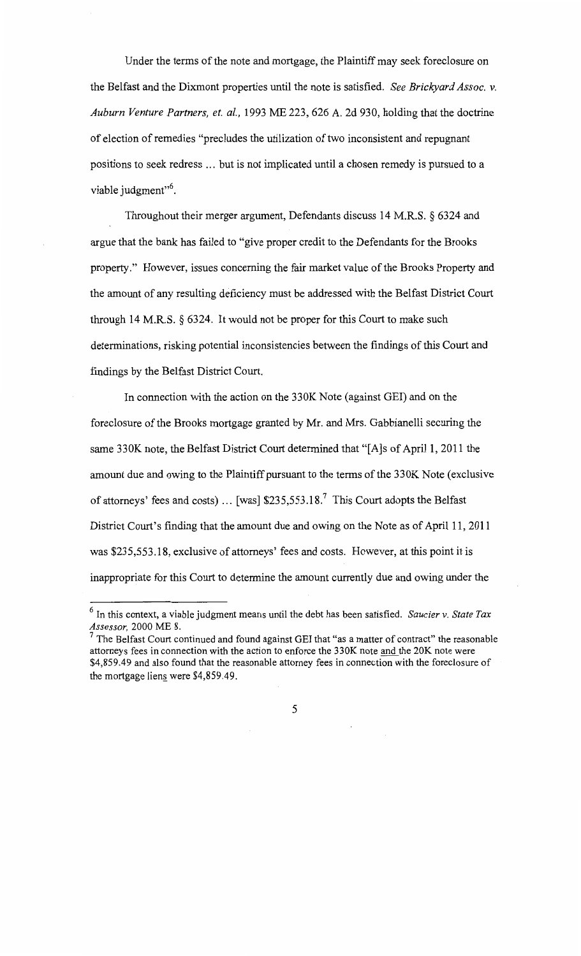Under the terms of the note and mortgage, the Plaintiff may seek foreclosure on the Belfast and the Dixmont properties until the note is satisfied. *See Brickyard Assoc. v. Auburn Venture Partners, et. a!.,* 1993 ME 223, 626 A. 2d 930, holding that the doctrine of election of remedies "precludes the utilization of two inconsistent and repugnant positions to seek redress ... but is not implicated until a chosen remedy is pursued to a viable judgment"<sup>6</sup>.

Throughout their merger argument, Defendants discuss 14 M.R.S. § 6324 and argue that the bank has failed to "give proper credit to the Defendants for the Brooks property." However, issues concerning the fair market value of the Brooks Property and the amount of any resulting deficiency must be addressed with the Belfast District Court through 14 M.R.S. § 6324. It would not be proper for this Court to make such determinations, risking potential inconsistencies between the findings of this Court and findings by the Belfast District Court.

In connection with the action on the 330K Note (against GEl) and on the foreclosure of the Brooks mortgage granted by Mr. and Mrs. Gabbianelli securing the same 330K note, the Belfast District Court determined that "[A]s of April 1, 2011 the amount due and owing to the Plaintiff pursuant to the terms of the 330K Note (exclusive of attorneys' fees and costs) ... [was]  $$235,553.18$ .<sup>7</sup> This Court adopts the Belfast District Court's finding that the amount due and owing on the Note as of April 11, 2011 was \$235,553.18, exclusive of attorneys' fees and costs. However, at this point it is inappropriate for this Court to determine the amount currently due and owing under the

<sup>6</sup> In this context, a viable judgment means until the debt has been satisfied. *Saucier v. State Tax Assessor,* 2000 ME 8.

 $<sup>7</sup>$  The Belfast Court continued and found against GEI that "as a matter of contract" the reasonable</sup> attorneys fees in connection with the action to enforce the 330K note and the 20K note were \$4,859.49 and also found that the reasonable attorney fees in connection with the foreclosure of the mortgage liens were  $$4,859.49$ .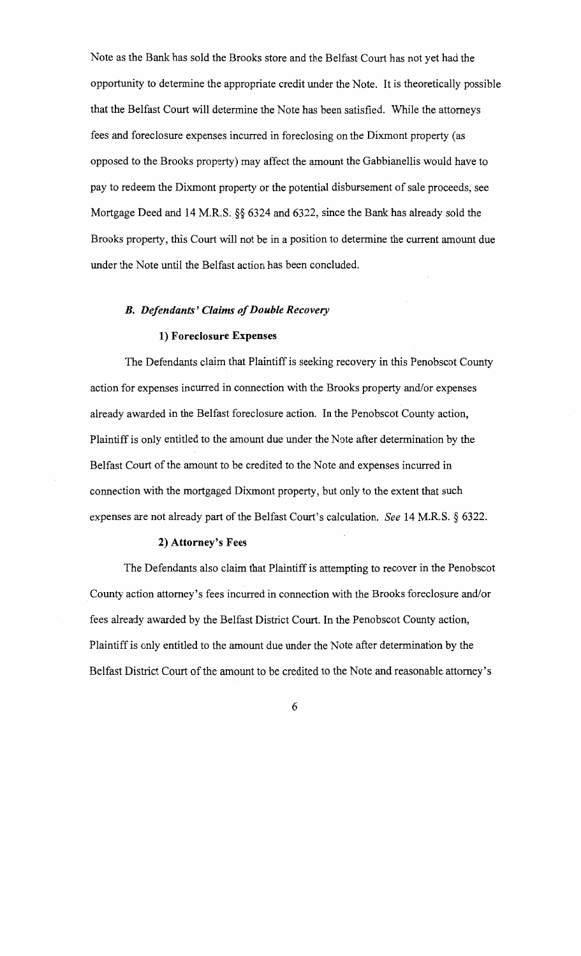Note as the Bank has sold the Brooks store and the Belfast Court has not yet had the opportunity to determine the appropriate credit under the Note. It is theoretically possible that the Belfast Court will determine the Note has been satisfied. While the attorneys fees and foreclosure expenses incurred in foreclosing on the Dixmont property (as opposed to the Brooks property) may affect the amount the Gabbianellis would have to pay to redeem the Dixmont property or the potential disbursement of sale proceeds, see Mortgage Deed and 14 M.R.S. §§ 6324 and 6322, since the Bank has already sold the Brooks property, this Court will not be in a position to determine the current amount due under the Note until the Belfast action has been concluded.

### *B. Defendants' Claims of Double Recovery*

#### 1) Foreclosure Expenses

The Defendants claim that Plaintiff is seeking recovery in this Penobscot County action for expenses incurred in connection with the Brooks property and/or expenses already awarded in the Belfast foreclosure action. In the Penobscot County action, Plaintiff is only entitled to the amount due under the Note after determination by the Belfast Court of the amount to be credited to the Note and expenses incurred in connection with the mortgaged Dixmont property, but only to the extent that such expenses are not already part of the Belfast Court's calculation. *See* 14 M.R.S. § 6322.

#### 2) Attorney's Fees

The Defendants also claim that Plaintiff is attempting to recover in the Penobscot County action attorney's fees incurred in connection with the Brooks foreclosure and/or fees already awarded by the Belfast District Court. In the Penobscot County action, Plaintiff is only entitled to the amount due under the Note after determination by the Belfast District Court of the amount to be credited to the Note and reasonable attorney's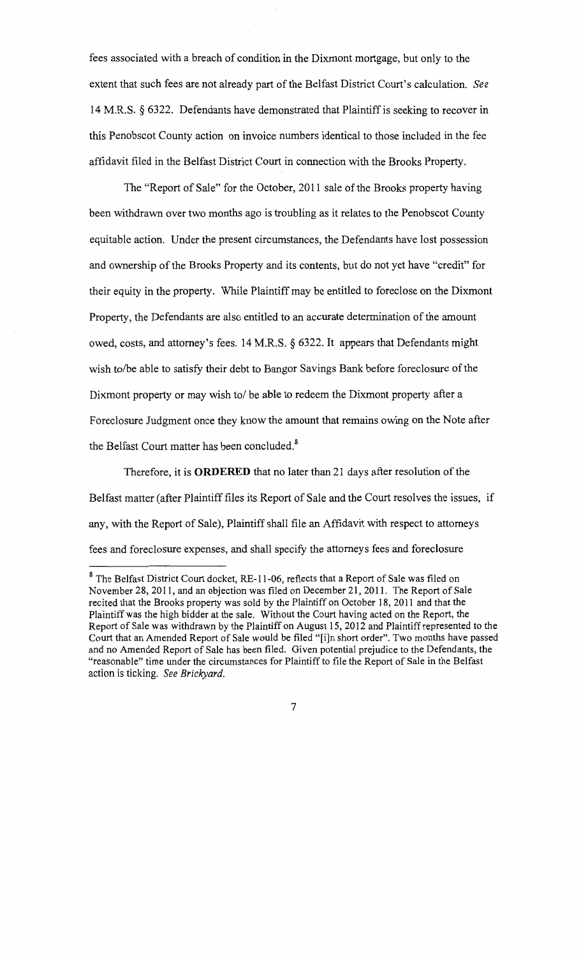fees associated with a breach of condition in the Dixmont mortgage, but only to the extent that such fees are not already part of the Belfast District Court's calculation. *See*  14 M.R.S. § 6322. Defendants have demonstrated that Plaintiff is seeking to recover in this Penobscot County action on invoice numbers identical to those included in the fee affidavit filed in the Belfast District Court in connection with the Brooks Property.

The "Report of Sale" for the October, 2011 sale of the Brooks property having been withdrawn over two months ago is troubling as it relates to the Penobscot County equitable action. Under the present circumstances, the Defendants have lost possession and ownership of the Brooks Property and its contents, but do not yet have "credit" for their equity in the property. While Plaintiff may be entitled to foreclose on the Dixmont Property, the Defendants are also entitled to an accurate determination of the amount owed, costs, and attorney's fees. 14 M.R.S. § 6322. It appears that Defendants might wish to/be able to satisfy their debt to Bangor Savings Bank before foreclosure of the Dixmont property or may wish to/ be able to redeem the Dixmont property after a Foreclosure Judgment once they know the amount that remains owing on the Note after the Belfast Court matter has been concluded.<sup>8</sup>

Therefore, it is **ORDERED** that no later than 21 days after resolution of the Belfast matter (after Plaintiff files its Report of Sale and the Court resolves the issues, if any, with the Report of Sale), Plaintiff shall file an Affidavit with respect to attorneys fees and foreclosure expenses, and shall specify the attorneys fees and foreclosure

<sup>&</sup>lt;sup>8</sup> The Belfast District Court docket, RE-11-06, reflects that a Report of Sale was filed on November 28, 20II, and an objection was filed on December 2I, 20Il. The Report of Sale recited that the Brooks property was sold by the Plaintiff on October 18, 2011 and that the Plaintiff was the high bidder at the sale. Without the Court having acted on the Report, the Report of Sale was withdrawn by the Plaintiff on August IS, 20 I2 and Plaintiff represented to the Court that an Amended Report of Sale would be filed "[i]n short order". Two months have passed and no Amended Report of Sale has been filed. Given potential prejudice to the Defendants, the "reasonable" time under the circumstances for Plaintiff to file the Report of Sale in the Belfast action is ticking. *See Brickyard.*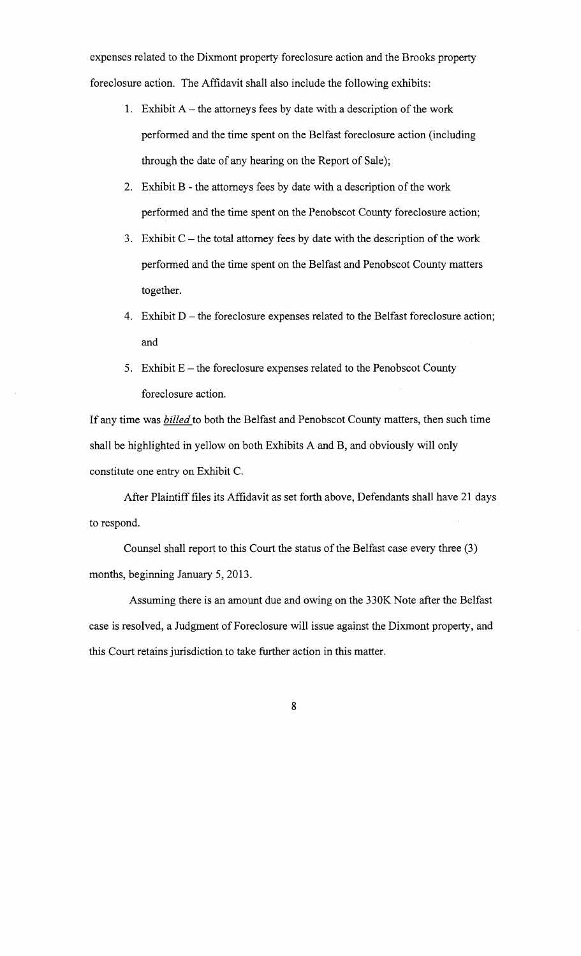expenses related to the Dixmont property foreclosure action and the Brooks property foreclosure action. The Affidavit shall also include the following exhibits:

- 1. Exhibit  $A$  the attorneys fees by date with a description of the work performed and the time spent on the Belfast foreclosure action (including through the date of any hearing on the Report of Sale);
- 2. Exhibit B- the attorneys fees by date with a description of the work performed and the time spent on the Penobscot County foreclosure action;
- 3. Exhibit  $C$  the total attorney fees by date with the description of the work performed and the time spent on the Belfast and Penobscot County matters together.
- 4. Exhibit  $D$  the foreclosure expenses related to the Belfast foreclosure action; and
- 5. Exhibit  $E$  the foreclosure expenses related to the Penobscot County foreclosure action.

If any time was *billed* to both the Belfast and Penobscot County matters, then such time shall be highlighted in yellow on both Exhibits A and B, and obviously will only constitute one entry on Exhibit C.

After Plaintiff files its Affidavit as set forth above, Defendants shall have 21 days to respond.

Counsel shall report to this Court the status of the Belfast case every three (3) months, beginning January 5, 2013.

Assuming there is an amount due and owing on the 330K Note after the Belfast case is resolved, a Judgment of Foreclosure will issue against the Dixmont property, and this Court retains jurisdiction to take further action in this matter.